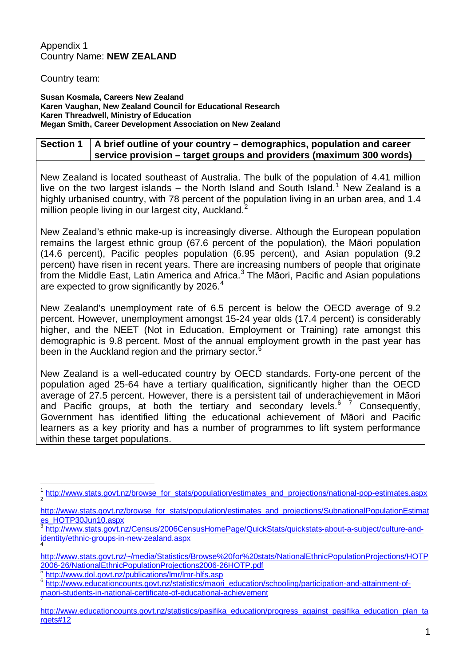## Appendix 1 Country Name: **NEW ZEALAND**

## Country team:

**Susan Kosmala, Careers New Zealand Karen Vaughan, New Zealand Council for Educational Research Karen Threadwell, Ministry of Education Megan Smith, Career Development Association on New Zealand** 

## **Section 1 A brief outline of your country – demographics, population and career service provision – target groups and providers (maximum 300 words)**

New Zealand is located southeast of Australia. The bulk of the population of 4.41 million live on the two largest islands – the North Island and South Island.<sup>[1](#page-0-0)</sup> New Zealand is a highly urbanised country, with 78 percent of the population living in an urban area, and 1.4 million people living in our largest city, Auckland.<sup>[2](#page-0-1)</sup>

New Zealand's ethnic make-up is increasingly diverse. Although the European population remains the largest ethnic group (67.6 percent of the population), the Māori population (14.6 percent), Pacific peoples population (6.95 percent), and Asian population (9.2 percent) have risen in recent years. There are increasing numbers of people that originate from the Middle East, Latin America and Africa.[3](#page-0-2) The Māori, Pacific and Asian populations are expected to grow significantly by 2026.<sup>[4](#page-0-3)</sup>

New Zealand's unemployment rate of 6.5 percent is below the OECD average of 9.2 percent. However, unemployment amongst 15-24 year olds (17.4 percent) is considerably higher, and the NEET (Not in Education, Employment or Training) rate amongst this demographic is 9.8 percent. Most of the annual employment growth in the past year has been in the Auckland region and the primary sector.<sup>[5](#page-0-4)</sup>

New Zealand is a well-educated country by OECD standards. Forty-one percent of the population aged 25-64 have a tertiary qualification, significantly higher than the OECD average of 27.5 percent. However, there is a persistent tail of underachievement in Māori and Pacific groups, at both the tertiary and secondary levels.<sup>[6](#page-0-5) [7](#page-0-6)</sup> Consequently, Government has identified lifting the educational achievement of Māori and Pacific learners as a key priority and has a number of programmes to lift system performance within these target populations.

<span id="page-0-0"></span>[http://www.stats.govt.nz/browse\\_for\\_stats/population/estimates\\_and\\_projections/national-pop-estimates.aspx](http://www.stats.govt.nz/browse_for_stats/population/estimates_and_projections/national-pop-estimates.aspx)

<span id="page-0-1"></span>[http://www.stats.govt.nz/browse\\_for\\_stats/population/estimates\\_and\\_projections/SubnationalPopulationEstimat](http://www.stats.govt.nz/browse_for_stats/population/estimates_and_projections/SubnationalPopulationEstimates_HOTP30Jun10.aspx) [es\\_HOTP30Jun10.aspx](http://www.stats.govt.nz/browse_for_stats/population/estimates_and_projections/SubnationalPopulationEstimates_HOTP30Jun10.aspx)

<span id="page-0-2"></span>[http://www.stats.govt.nz/Census/2006CensusHomePage/QuickStats/quickstats-about-a-subject/culture-and](http://www.stats.govt.nz/Census/2006CensusHomePage/QuickStats/quickstats-about-a-subject/culture-and-identity/ethnic-groups-in-new-zealand.aspx)[identity/ethnic-groups-in-new-zealand.aspx](http://www.stats.govt.nz/Census/2006CensusHomePage/QuickStats/quickstats-about-a-subject/culture-and-identity/ethnic-groups-in-new-zealand.aspx) <sup>4</sup>

<span id="page-0-3"></span>[http://www.stats.govt.nz/~/media/Statistics/Browse%20for%20stats/NationalEthnicPopulationProjections/HOTP](http://www.stats.govt.nz/~/media/Statistics/Browse%20for%20stats/NationalEthnicPopulationProjections/HOTP2006-26/NationalEthnicPopulationProjections2006-26HOTP.pdf)<br>2006-26/NationalEthnicPopulationProjections2006-26HOTP.pdf

<span id="page-0-5"></span><span id="page-0-4"></span>

 $\frac{5}{6}$  <http://www.dol.govt.nz/publications/lmr/lmr-hlfs.asp> 6 [http://www.educationcounts.govt.nz/statistics/maori\\_education/schooling/participation-and-attainment-of](http://www.educationcounts.govt.nz/statistics/maori_education/schooling/participation-and-attainment-of-maori-students-in-national-certificate-of-educational-achievement)[maori-students-in-national-certificate-of-educational-achievement](http://www.educationcounts.govt.nz/statistics/maori_education/schooling/participation-and-attainment-of-maori-students-in-national-certificate-of-educational-achievement)

<span id="page-0-6"></span>[http://www.educationcounts.govt.nz/statistics/pasifika\\_education/progress\\_against\\_pasifika\\_education\\_plan\\_ta](http://www.educationcounts.govt.nz/statistics/pasifika_education/progress_against_pasifika_education_plan_targets#12) [rgets#12](http://www.educationcounts.govt.nz/statistics/pasifika_education/progress_against_pasifika_education_plan_targets#12)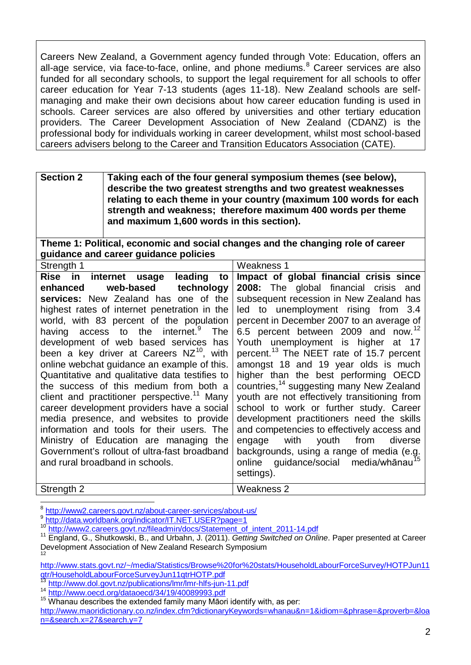Careers New Zealand, a Government agency funded through Vote: Education, offers an all-age service, via face-to-face, online, and phone mediums.<sup>[8](#page-0-1)</sup> Career services are also funded for all secondary schools, to support the legal requirement for all schools to offer career education for Year 7-13 students (ages 11-18). New Zealand schools are selfmanaging and make their own decisions about how career education funding is used in schools. Career services are also offered by universities and other tertiary education providers. The Career Development Association of New Zealand (CDANZ) is the professional body for individuals working in career development, whilst most school-based careers advisers belong to the Career and Transition Educators Association (CATE).

| <b>Section 2</b> | Taking each of the four general symposium themes (see below),<br>describe the two greatest strengths and two greatest weaknesses<br>relating to each theme in your country (maximum 100 words for each<br>strength and weakness; therefore maximum 400 words per theme<br>and maximum 1,600 words in this section). |
|------------------|---------------------------------------------------------------------------------------------------------------------------------------------------------------------------------------------------------------------------------------------------------------------------------------------------------------------|
|                  |                                                                                                                                                                                                                                                                                                                     |

**Theme 1: Political, economic and social changes and the changing role of career guidance and career guidance policies**

| Strength 1                                              | Weakness 1                                           |
|---------------------------------------------------------|------------------------------------------------------|
| Rise in internet usage<br>leading<br>to                 | Impact of global financial crisis since              |
| web-based<br>enhanced<br>technology                     | 2008: The global financial crisis and                |
| services: New Zealand has one of the                    | subsequent recession in New Zealand has              |
| highest rates of internet penetration in the            | led to unemployment rising from 3.4                  |
| world, with 83 percent of the population                | percent in December 2007 to an average of            |
| having access to the internet. <sup>9</sup> The         | 6.5 percent between 2009 and now. <sup>12</sup>      |
| development of web based services has                   | Youth unemployment is higher at 17                   |
| been a key driver at Careers NZ <sup>10</sup> , with    | percent. <sup>13</sup> The NEET rate of 15.7 percent |
| online webchat quidance an example of this.             | amongst 18 and 19 year olds is much                  |
| Quantitative and qualitative data testifies to          | higher than the best performing OECD                 |
| the success of this medium from both a                  | countries, <sup>14</sup> suggesting many New Zealand |
| client and practitioner perspective. <sup>11</sup> Many | youth are not effectively transitioning from         |
| career development providers have a social              | school to work or further study. Career              |
| media presence, and websites to provide                 | development practitioners need the skills            |
| information and tools for their users. The              | and competencies to effectively access and           |
| Ministry of Education are managing the                  | engage with youth from<br>diverse                    |
| Government's rollout of ultra-fast broadband            | backgrounds, using a range of media (e.g.            |
| and rural broadband in schools.                         | online guidance/social media/whānau <sup>15</sup>    |
|                                                         | settings).                                           |
| Strength 2                                              | Weakness 2                                           |

<span id="page-1-0"></span><sup>&</sup>lt;sup>8</sup> <http://www2.careers.govt.nz/about-career-services/about-us/><br>9 http://data.worldbank.org/indicator/IT.NET.USER?page=1

<sup>&</sup>lt;sup>10</sup> http://www2.careers.govt.nz/fileadmin/docs/Statement of intent 2011-14.pdf<br><sup>11</sup> England, G., Shutkowski, B., and Urbahn, J. (2011). Getting Switched on Online. Paper presented at Career Development Association of New Zealand Research Symposium 12

<span id="page-1-1"></span>[http://www.stats.govt.nz/~/media/Statistics/Browse%20for%20stats/HouseholdLabourForceSurvey/HOTPJun11](http://www.stats.govt.nz/~/media/Statistics/Browse%20for%20stats/HouseholdLabourForceSurvey/HOTPJun11qtr/HouseholdLabourForceSurveyJun11qtrHOTP.pdf) [qtr/HouseholdLabourForceSurveyJun11qtrHOTP.pdf](http://www.stats.govt.nz/~/media/Statistics/Browse%20for%20stats/HouseholdLabourForceSurvey/HOTPJun11qtr/HouseholdLabourForceSurveyJun11qtrHOTP.pdf)<br>13 http://www.dol.govt.nz/publications/lmr/lmr-hlfs-jun-11.pdf

 $\frac{14}{14}$  http://www.dol.gov.nz/publications/lmr-hlm-hlms-jun-11.pdf 14 <http://www.oecd.org/dataoecd/34/19/40089993.pdf> 15 Whanau describes the extended family many Māori identify with, as per:

[http://www.maoridictionary.co.nz/index.cfm?dictionaryKeywords=whanau&n=1&idiom=&phrase=&proverb=&loa](http://www.maoridictionary.co.nz/index.cfm?dictionaryKeywords=whanau&n=1&idiom=&phrase=&proverb=&loan=&search.x=27&search.y=7) [n=&search.x=27&search.y=7](http://www.maoridictionary.co.nz/index.cfm?dictionaryKeywords=whanau&n=1&idiom=&phrase=&proverb=&loan=&search.x=27&search.y=7)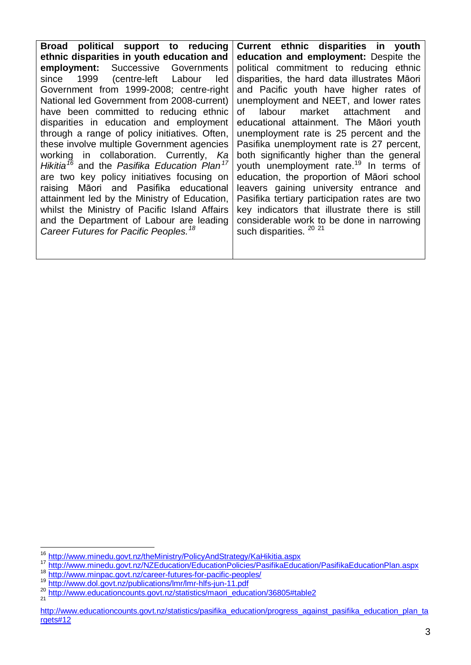**Broad political support to reducing ethnic disparities in youth education and employment:** Successive Governments since 1999 (centre-left Labour led Government from 1999-2008; centre-right National led Government from 2008-current) have been committed to reducing ethnic disparities in education and employment through a range of policy initiatives. Often, these involve multiple Government agencies working in collaboration. Currently, *Ka Hikitia[16](#page-1-1)* and the *Pasifika Education Plan[17](#page-2-0)* are two key policy initiatives focusing on raising Māori and Pasifika educational attainment led by the Ministry of Education, whilst the Ministry of Pacific Island Affairs and the Department of Labour are leading *Career Futures for Pacific Peoples.[18](#page-2-0)*

**Current ethnic disparities in youth education and employment:** Despite the political commitment to reducing ethnic disparities, the hard data illustrates Māori and Pacific youth have higher rates of unemployment and NEET, and lower rates of labour market attachment and educational attainment. The Māori youth unemployment rate is 25 percent and the Pasifika unemployment rate is 27 percent, both significantly higher than the general youth unemployment rate.<sup>[19](#page-2-0)</sup> In terms of education, the proportion of Māori school leavers gaining university entrance and Pasifika tertiary participation rates are two key indicators that illustrate there is still considerable work to be done in narrowing such disparities.<sup>[20](#page-2-0)</sup><sup>[21](#page-2-0)</sup>

<span id="page-2-0"></span><sup>&</sup>lt;sup>16</sup> <http://www.minedu.govt.nz/theMinistry/PolicyAndStrategy/KaHikitia.aspx><br>
<sup>17</sup> <http://www.minedu.govt.nz/NZEducation/EducationPolicies/PasifikaEducation/PasifikaEducationPlan.aspx><br>
<sup>18</sup> http://www.minpac.govt.nz/career-

<span id="page-2-1"></span>

[http://www.educationcounts.govt.nz/statistics/pasifika\\_education/progress\\_against\\_pasifika\\_education\\_plan\\_ta](http://www.educationcounts.govt.nz/statistics/pasifika_education/progress_against_pasifika_education_plan_targets#12) [rgets#12](http://www.educationcounts.govt.nz/statistics/pasifika_education/progress_against_pasifika_education_plan_targets#12)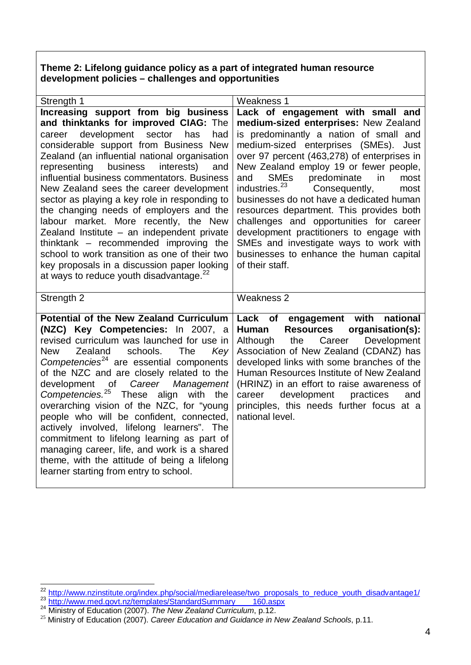**Theme 2: Lifelong guidance policy as a part of integrated human resource development policies – challenges and opportunities** 

| Strength 1                                                                                                                                                                                                                                                                                                                                                                                                                                                                                                                                                                                                                                                                                                                                    | <b>Weakness 1</b>                                                                                                                                                                                                                                                                                                                                                                                                                                                                                                                                                                                                                                                 |  |  |  |
|-----------------------------------------------------------------------------------------------------------------------------------------------------------------------------------------------------------------------------------------------------------------------------------------------------------------------------------------------------------------------------------------------------------------------------------------------------------------------------------------------------------------------------------------------------------------------------------------------------------------------------------------------------------------------------------------------------------------------------------------------|-------------------------------------------------------------------------------------------------------------------------------------------------------------------------------------------------------------------------------------------------------------------------------------------------------------------------------------------------------------------------------------------------------------------------------------------------------------------------------------------------------------------------------------------------------------------------------------------------------------------------------------------------------------------|--|--|--|
| Increasing support from big business<br>and thinktanks for improved CIAG: The<br>career development sector has<br>had<br>considerable support from Business New<br>Zealand (an influential national organisation<br>representing business<br>interests)<br>and<br>influential business commentators. Business<br>New Zealand sees the career development<br>sector as playing a key role in responding to<br>the changing needs of employers and the<br>labour market. More recently, the New<br>Zealand Institute - an independent private<br>thinktank $-$ recommended improving the<br>school to work transition as one of their two<br>key proposals in a discussion paper looking<br>at ways to reduce youth disadvantage. <sup>22</sup> | Lack of engagement with small and<br>medium-sized enterprises: New Zealand<br>is predominantly a nation of small and<br>medium-sized enterprises (SMEs). Just<br>over 97 percent (463,278) of enterprises in<br>New Zealand employ 19 or fewer people,<br><b>SME<sub>s</sub></b><br>predominate<br>in<br>and<br>most<br>industries. <sup>23</sup><br>Consequently,<br>most<br>businesses do not have a dedicated human<br>resources department. This provides both<br>challenges and opportunities for career<br>development practitioners to engage with<br>SMEs and investigate ways to work with<br>businesses to enhance the human capital<br>of their staff. |  |  |  |
| Strength 2                                                                                                                                                                                                                                                                                                                                                                                                                                                                                                                                                                                                                                                                                                                                    | Weakness 2                                                                                                                                                                                                                                                                                                                                                                                                                                                                                                                                                                                                                                                        |  |  |  |
| <b>Potential of the New Zealand Curriculum</b><br>(NZC) Key Competencies: In 2007, a<br>revised curriculum was launched for use in<br>Zealand<br>schools.<br><b>New</b><br><b>The</b><br>Key<br>Competencies <sup>24</sup> are essential components<br>of the NZC and are closely related to the<br>of<br>Career<br>development<br>Management<br>Competencies. <sup>25</sup><br><b>These</b><br>align with the<br>overarching vision of the NZC, for "young<br>people who will be confident, connected,<br>actively involved, lifelong learners". The<br>commitment to lifelong learning as part of<br>managing career, life, and work is a shared<br>theme, with the attitude of being a lifelong<br>learner starting from entry to school.  | national<br>Lack of engagement with<br><b>Human</b><br><b>Resources</b><br>organisation(s):<br>Development<br>Although<br>the Career<br>Association of New Zealand (CDANZ) has<br>developed links with some branches of the<br>Human Resources Institute of New Zealand<br>(HRINZ) in an effort to raise awareness of<br>development<br>practices<br>career<br>and<br>principles, this needs further focus at a<br>national level.                                                                                                                                                                                                                                |  |  |  |

<span id="page-3-1"></span><span id="page-3-0"></span> $\frac{\frac{22}{23} \frac{http://www.nzinstitute.org/index.php/social/mediarelease/two-proposals_to_reduce_youth\_disadvantage1/}{http://www.med.govt.nz/templates/StandardSummary} \frac{160.aspx}{160.aspx}$   $\frac{24}{24} \frac{http://www.med.govt.nz/templates/StandardSummary}{\frac{24}{24} \frac{160.aspx}{\frac{160.aspx}{\frac{160.apx}{\frac{160.apx}{\frac{160.apx}{\frac{160.apx}{\frac{160.apx}{\frac{160.apx}{\frac{160.apx}{\frac{160$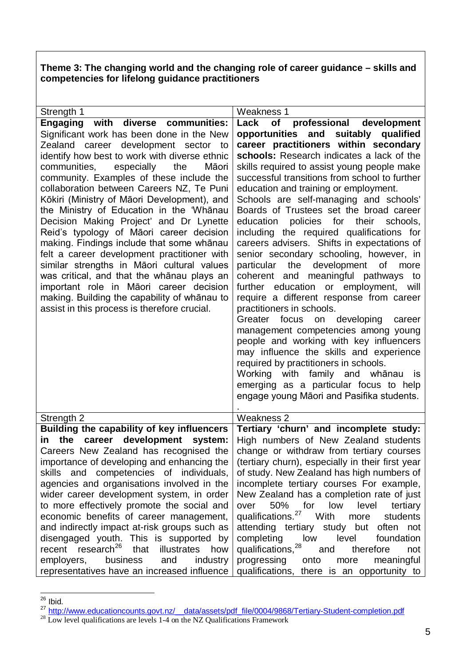**Theme 3: The changing world and the changing role of career guidance – skills and competencies for lifelong guidance practitioners**

| Strength 1                                                  | Weakness 1                                               |
|-------------------------------------------------------------|----------------------------------------------------------|
| Engaging with diverse communities:                          | of professional<br>Lack<br>development                   |
| Significant work has been done in the New                   | opportunities and suitably qualified                     |
| Zealand career development sector to                        | career practitioners within secondary                    |
| identify how best to work with diverse ethnic               | schools: Research indicates a lack of the                |
| communities,<br>especially<br>the<br>Māori                  | skills required to assist young people make              |
| community. Examples of these include the                    | successful transitions from school to further            |
| collaboration between Careers NZ, Te Puni                   | education and training or employment.                    |
| Kōkiri (Ministry of Māori Development), and                 | Schools are self-managing and schools'                   |
| the Ministry of Education in the 'Whanau                    | Boards of Trustees set the broad career                  |
|                                                             |                                                          |
| Decision Making Project' and Dr Lynette                     | policies for their<br>education<br>schools.              |
| Reid's typology of Māori career decision                    | including the required qualifications for                |
| making. Findings include that some whanau                   | careers advisers. Shifts in expectations of              |
| felt a career development practitioner with                 | senior secondary schooling, however, in                  |
| similar strengths in Māori cultural values                  | the<br>development<br>particular<br>of<br>more           |
| was critical, and that the whanau plays an                  | coherent and meaningful pathways to                      |
| important role in Māori career decision                     | further education or employment, will                    |
| making. Building the capability of whanau to                | require a different response from career                 |
| assist in this process is therefore crucial.                | practitioners in schools.                                |
|                                                             | Greater focus<br>on developing<br>career                 |
|                                                             | management competencies among young                      |
|                                                             | people and working with key influencers                  |
|                                                             | may influence the skills and experience                  |
|                                                             | required by practitioners in schools.                    |
|                                                             | Working with family and whanau is                        |
|                                                             |                                                          |
|                                                             | emerging as a particular focus to help                   |
|                                                             | engage young Māori and Pasifika students.                |
| Strength 2                                                  | Weakness 2                                               |
| <b>Building the capability of key influencers</b>           | Tertiary 'churn' and incomplete study:                   |
| career development<br>the<br>system:<br>in.                 | High numbers of New Zealand students                     |
| Careers New Zealand has recognised the                      | change or withdraw from tertiary courses                 |
| importance of developing and enhancing the                  | (tertiary churn), especially in their first year         |
| skills and competencies of individuals,                     | of study. New Zealand has high numbers of                |
| agencies and organisations involved in the                  | incomplete tertiary courses For example,                 |
| wider career development system, in order                   | New Zealand has a completion rate of just                |
| to more effectively promote the social and                  | 50% for low<br>level<br>over<br>tertiary                 |
| economic benefits of career management,                     | qualifications. <sup>27</sup> With<br>more<br>students   |
| and indirectly impact at-risk groups such as                | attending tertiary study but often not                   |
| disengaged youth. This is supported by                      | completing<br>level<br>low<br>foundation                 |
| recent research <sup>26</sup><br>that<br>illustrates<br>how | qualifications, <sup>28</sup><br>therefore<br>and<br>not |
|                                                             |                                                          |
| employers,<br>and<br>industry<br>business                   | progressing<br>meaningful<br>onto<br>more                |
| representatives have an increased influence                 | qualifications, there is an opportunity to               |

<span id="page-4-0"></span> $\overline{^{26}}$  Ibid.

<span id="page-4-1"></span><sup>27</sup> [http://www.educationcounts.govt.nz/\\_\\_data/assets/pdf\\_file/0004/9868/Tertiary-Student-completion.pdf](http://www.educationcounts.govt.nz/__data/assets/pdf_file/0004/9868/Tertiary-Student-completion.pdf) <sup>28</sup> Low level qualifications are levels 1-4 on the NZ Qualifications Framework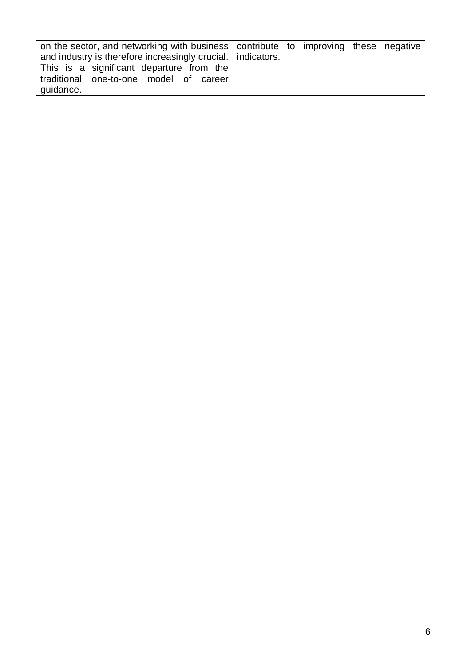| on the sector, and networking with business contribute to improving these negative |  |  |  |
|------------------------------------------------------------------------------------|--|--|--|
| and industry is therefore increasingly crucial.   indicators.                      |  |  |  |
| This is a significant departure from the                                           |  |  |  |
| traditional one-to-one model of career                                             |  |  |  |
| guidance.                                                                          |  |  |  |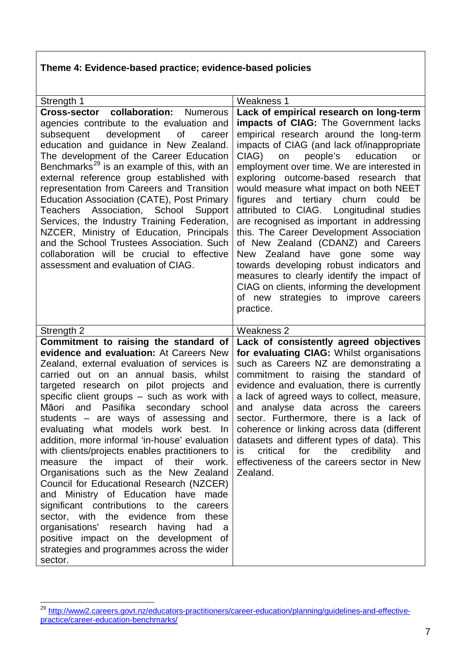## **Theme 4: Evidence-based practice; evidence-based policies**

| Cross-sector collaboration: Numerous<br>Lack of empirical research on long-term<br><b>impacts of CIAG:</b> The Government lacks<br>agencies contribute to the evaluation and        |     |
|-------------------------------------------------------------------------------------------------------------------------------------------------------------------------------------|-----|
|                                                                                                                                                                                     |     |
|                                                                                                                                                                                     |     |
| empirical research around the long-term<br>development<br>subsequent<br>of<br>career<br>impacts of CIAG (and lack of/inappropriate<br>education and guidance in New Zealand.        |     |
| The development of the Career Education<br>CIAG)<br>on<br>people's<br>education                                                                                                     | or  |
| Benchmarks <sup>29</sup> is an example of this, with an<br>employment over time. We are interested in                                                                               |     |
| external reference group established with<br>exploring outcome-based research that                                                                                                  |     |
| representation from Careers and Transition<br>would measure what impact on both NEET<br><b>Education Association (CATE), Post Primary</b><br>and tertiary churn<br>figures<br>could | be  |
| Teachers Association, School<br>attributed to CIAG. Longitudinal studies<br>Support                                                                                                 |     |
| Services, the Industry Training Federation,<br>are recognised as important in addressing                                                                                            |     |
| NZCER, Ministry of Education, Principals<br>this. The Career Development Association                                                                                                |     |
| and the School Trustees Association. Such<br>of New Zealand (CDANZ) and Careers<br>collaboration will be crucial to effective<br>New Zealand have gone some                         | way |
| towards developing robust indicators and<br>assessment and evaluation of CIAG.                                                                                                      |     |
| measures to clearly identify the impact of                                                                                                                                          |     |
| CIAG on clients, informing the development                                                                                                                                          |     |
| of new strategies to improve<br>careers<br>practice.                                                                                                                                |     |
|                                                                                                                                                                                     |     |
| Weakness 2<br>Strength 2                                                                                                                                                            |     |
| Commitment to raising the standard of<br>Lack of consistently agreed objectives                                                                                                     |     |
| evidence and evaluation: At Careers New<br>for evaluating CIAG: Whilst organisations<br>such as Careers NZ are demonstrating a<br>Zealand, external evaluation of services is       |     |
| carried out on an annual<br>basis, whilst<br>commitment to raising the standard of                                                                                                  |     |
| evidence and evaluation, there is currently<br>targeted research on pilot projects and                                                                                              |     |
| specific client groups - such as work with<br>a lack of agreed ways to collect, measure,                                                                                            |     |
| Pasifika<br>secondary<br>and analyse data across the<br>Māori<br>and<br>school<br>careers                                                                                           |     |
| students - are ways of assessing and<br>sector. Furthermore, there is a lack of<br>evaluating what models work best. In<br>coherence or linking across data (different              |     |
| addition, more informal 'in-house' evaluation<br>datasets and different types of data). This                                                                                        |     |
| with clients/projects enables practitioners to<br>critical<br>for<br>the<br>credibility<br><b>IS</b>                                                                                | and |
| measure the impact of their work.<br>effectiveness of the careers sector in New                                                                                                     |     |
| Organisations such as the New Zealand<br>Zealand.<br>Council for Educational Research (NZCER)                                                                                       |     |
| and Ministry of Education have made                                                                                                                                                 |     |
| significant contributions to the careers                                                                                                                                            |     |
| sector, with<br>the evidence<br>from these                                                                                                                                          |     |
| organisations' research having<br>had<br>a                                                                                                                                          |     |
| positive impact on the development of<br>strategies and programmes across the wider                                                                                                 |     |
| sector.                                                                                                                                                                             |     |

<sup>&</sup>lt;sup>29</sup> [http://www2.careers.govt.nz/educators-practitioners/career-education/planning/guidelines-and-effective](http://www2.careers.govt.nz/educators-practitioners/career-education/planning/guidelines-and-effective-practice/career-education-benchmarks/)[practice/career-education-benchmarks/](http://www2.careers.govt.nz/educators-practitioners/career-education/planning/guidelines-and-effective-practice/career-education-benchmarks/)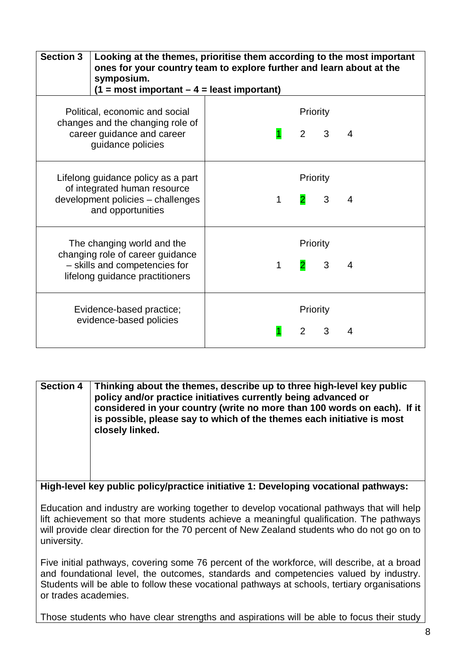| <b>Section 3</b>                                                                                                                   | Looking at the themes, prioritise them according to the most important<br>ones for your country team to explore further and learn about at the<br>symposium.<br>$(1 = most important - 4 = least important)$ |   |                           |              |                |
|------------------------------------------------------------------------------------------------------------------------------------|--------------------------------------------------------------------------------------------------------------------------------------------------------------------------------------------------------------|---|---------------------------|--------------|----------------|
| Political, economic and social<br>changes and the changing role of<br>career guidance and career<br>guidance policies              |                                                                                                                                                                                                              |   | Priority<br>$2^{\circ}$   | $3^{\circ}$  | $\overline{4}$ |
| Lifelong guidance policy as a part<br>of integrated human resource<br>development policies - challenges<br>and opportunities       |                                                                                                                                                                                                              | 1 | Priority                  | 3            | $\overline{4}$ |
| The changing world and the<br>changing role of career guidance<br>- skills and competencies for<br>lifelong guidance practitioners |                                                                                                                                                                                                              | 1 | Priority                  | $\mathbf{3}$ | 4              |
| Evidence-based practice;<br>evidence-based policies                                                                                |                                                                                                                                                                                                              |   | Priority<br>$\mathcal{P}$ | 3            | 4              |

**Section 4 Thinking about the themes, describe up to three high-level key public policy and/or practice initiatives currently being advanced or considered in your country (write no more than 100 words on each). If it is possible, please say to which of the themes each initiative is most closely linked. High-level key public policy/practice initiative 1: Developing vocational pathways:** Education and industry are working together to develop vocational pathways that will help lift achievement so that more students achieve a meaningful qualification. The pathways will provide clear direction for the 70 percent of New Zealand students who do not go on to

Five initial pathways, covering some 76 percent of the workforce, will describe, at a broad and foundational level, the outcomes, standards and competencies valued by industry. Students will be able to follow these vocational pathways at schools, tertiary organisations or trades academies.

university.

Those students who have clear strengths and aspirations will be able to focus their study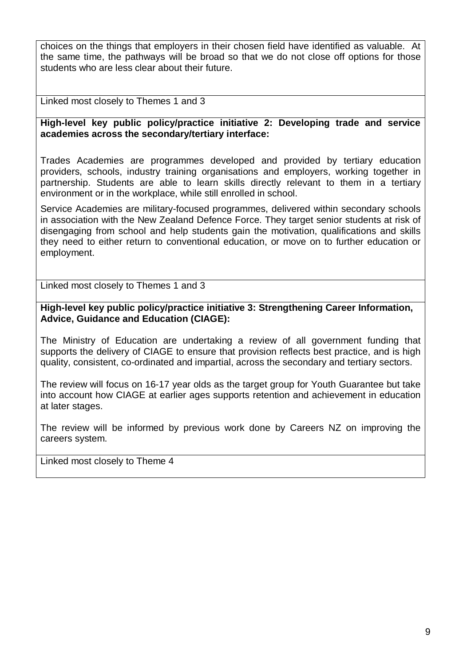choices on the things that employers in their chosen field have identified as valuable. At the same time, the pathways will be broad so that we do not close off options for those students who are less clear about their future.

Linked most closely to Themes 1 and 3

**High-level key public policy/practice initiative 2: Developing trade and service academies across the secondary/tertiary interface:**

Trades Academies are programmes developed and provided by tertiary education providers, schools, industry training organisations and employers, working together in partnership. Students are able to learn skills directly relevant to them in a tertiary environment or in the workplace, while still enrolled in school.

Service Academies are military-focused programmes, delivered within secondary schools in association with the New Zealand Defence Force. They target senior students at risk of disengaging from school and help students gain the motivation, qualifications and skills they need to either return to conventional education, or move on to further education or employment.

Linked most closely to Themes 1 and 3

**High-level key public policy/practice initiative 3: Strengthening Career Information, Advice, Guidance and Education (CIAGE):** 

The Ministry of Education are undertaking a review of all government funding that supports the delivery of CIAGE to ensure that provision reflects best practice, and is high quality, consistent, co-ordinated and impartial, across the secondary and tertiary sectors.

The review will focus on 16-17 year olds as the target group for Youth Guarantee but take into account how CIAGE at earlier ages supports retention and achievement in education at later stages.

The review will be informed by previous work done by Careers NZ on improving the careers system.

Linked most closely to Theme 4